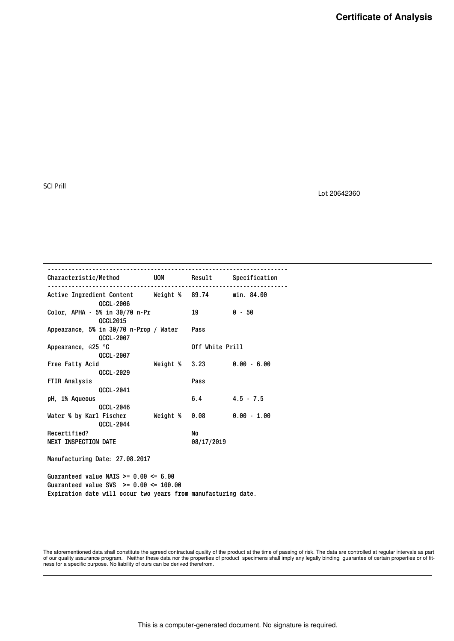Lot 20642360

| Characteristic/Method UOM Result Specification                          |               |                                       |               |
|-------------------------------------------------------------------------|---------------|---------------------------------------|---------------|
| Active Ingredient Content Weight % 89.74 min. 84.00<br><b>QCCL-2006</b> |               |                                       |               |
| Color, APHA - 5% in 30/70 n-Pr<br><b>OCCL2015</b>                       |               | 19                                    | $0 - 50$      |
| Appearance, 5% in 30/70 n-Prop / Water<br><b>QCCL-2007</b>              |               | Pass                                  |               |
| Appearance, @25 °C<br>QCCL-2007                                         |               | Off White Prill                       |               |
| Free Fatty Acid<br><b>QCCL-2029</b>                                     |               | Weight $\frac{1}{2}$ 3.23 0.00 - 6.00 |               |
| FTIR Analysis<br><b>QCCL-2041</b>                                       |               | Pass                                  |               |
| pH, 1% Aqueous<br><b>QCCL-2046</b>                                      |               | 6.4                                   | $4.5 - 7.5$   |
| Water % by Karl Fischer<br><b>QCCL-2044</b>                             | Weight % 0.08 |                                       | $0.00 - 1.00$ |
| Recertified?                                                            |               | No                                    |               |
| <b>NEXT INSPECTION DATE</b>                                             |               | 08/17/2019                            |               |

Manufacturing Date: 27.08.2017

Guaranteed value NAIS  $>= 0.00 \le 6.00$ Guaranteed value SVS >= 0.00 <= 100.00 Expiration date will occur two years from manufacturing date.

The aforementioned data shall constitute the agreed contractual quality of the product at the time of passing of risk. The data are controlled at regular intervals as part<br>of our quality assurance program. Neither these da